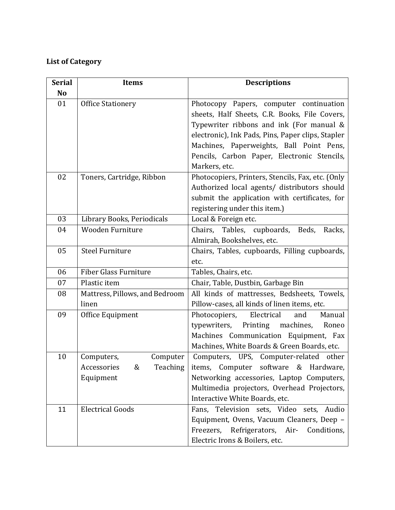## **List of Category**

| <b>Serial</b> | <b>Items</b>                   | <b>Descriptions</b>                               |
|---------------|--------------------------------|---------------------------------------------------|
| No            |                                |                                                   |
| 01            | <b>Office Stationery</b>       | Photocopy Papers, computer continuation           |
|               |                                | sheets, Half Sheets, C.R. Books, File Covers,     |
|               |                                | Typewriter ribbons and ink (For manual &          |
|               |                                | electronic), Ink Pads, Pins, Paper clips, Stapler |
|               |                                | Machines, Paperweights, Ball Point Pens,          |
|               |                                | Pencils, Carbon Paper, Electronic Stencils,       |
|               |                                | Markers, etc.                                     |
| 02            | Toners, Cartridge, Ribbon      | Photocopiers, Printers, Stencils, Fax, etc. (Only |
|               |                                | Authorized local agents/ distributors should      |
|               |                                | submit the application with certificates, for     |
|               |                                | registering under this item.)                     |
| 03            | Library Books, Periodicals     | Local & Foreign etc.                              |
| 04            | Wooden Furniture               | Chairs, Tables, cupboards, Beds, Racks,           |
|               |                                | Almirah, Bookshelves, etc.                        |
| 05            | <b>Steel Furniture</b>         | Chairs, Tables, cupboards, Filling cupboards,     |
|               |                                | etc.                                              |
| 06            | <b>Fiber Glass Furniture</b>   | Tables, Chairs, etc.                              |
| 07            | Plastic item                   | Chair, Table, Dustbin, Garbage Bin                |
| 08            | Mattress, Pillows, and Bedroom | All kinds of mattresses, Bedsheets, Towels,       |
|               | linen                          | Pillow-cases, all kinds of linen items, etc.      |
| 09            | Office Equipment               | Electrical<br>Photocopiers,<br>and<br>Manual      |
|               |                                | Printing machines,<br>typewriters,<br>Roneo       |
|               |                                | Machines Communication Equipment, Fax             |
|               |                                | Machines, White Boards & Green Boards, etc.       |
| 10            | Computer<br>Computers,         | Computers, UPS, Computer-related other            |
|               | Accessories & Teaching         | items, Computer software & Hardware,              |
|               | Equipment                      | Networking accessories, Laptop Computers,         |
|               |                                | Multimedia projectors, Overhead Projectors,       |
|               |                                | Interactive White Boards, etc.                    |
| 11            | <b>Electrical Goods</b>        | Fans, Television sets, Video<br>sets, Audio       |
|               |                                | Equipment, Ovens, Vacuum Cleaners, Deep -         |
|               |                                | Refrigerators, Air-<br>Freezers,<br>Conditions,   |
|               |                                | Electric Irons & Boilers, etc.                    |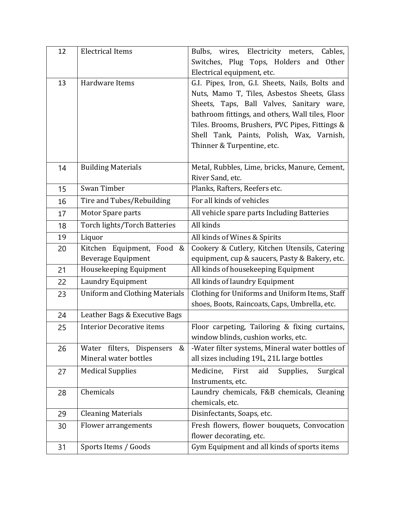| 12 | <b>Electrical Items</b>                                | Bulbs, wires, Electricity meters,<br>Cables,                                                    |
|----|--------------------------------------------------------|-------------------------------------------------------------------------------------------------|
|    |                                                        | Switches, Plug Tops, Holders and Other                                                          |
|    |                                                        | Electrical equipment, etc.                                                                      |
| 13 | Hardware Items                                         | G.I. Pipes, Iron, G.I. Sheets, Nails, Bolts and                                                 |
|    |                                                        | Nuts, Mamo T, Tiles, Asbestos Sheets, Glass                                                     |
|    |                                                        | Sheets, Taps, Ball Valves, Sanitary ware,                                                       |
|    |                                                        | bathroom fittings, and others, Wall tiles, Floor                                                |
|    |                                                        | Tiles. Brooms, Brushers, PVC Pipes, Fittings &                                                  |
|    |                                                        | Shell Tank, Paints, Polish, Wax, Varnish,                                                       |
|    |                                                        | Thinner & Turpentine, etc.                                                                      |
|    | <b>Building Materials</b>                              | Metal, Rubbles, Lime, bricks, Manure, Cement,                                                   |
| 14 |                                                        | River Sand, etc.                                                                                |
| 15 | Swan Timber                                            | Planks, Rafters, Reefers etc.                                                                   |
| 16 | Tire and Tubes/Rebuilding                              | For all kinds of vehicles                                                                       |
|    | Motor Spare parts                                      | All vehicle spare parts Including Batteries                                                     |
| 17 |                                                        | All kinds                                                                                       |
| 18 | <b>Torch lights/Torch Batteries</b>                    |                                                                                                 |
| 19 | Liquor                                                 | All kinds of Wines & Spirits                                                                    |
| 20 | Kitchen Equipment, Food &<br><b>Beverage Equipment</b> | Cookery & Cutlery, Kitchen Utensils, Catering<br>equipment, cup & saucers, Pasty & Bakery, etc. |
| 21 | Housekeeping Equipment                                 | All kinds of housekeeping Equipment                                                             |
|    |                                                        |                                                                                                 |
| 22 | Laundry Equipment                                      | All kinds of laundry Equipment                                                                  |
| 23 | Uniform and Clothing Materials                         | Clothing for Uniforms and Uniform Items, Staff<br>shoes, Boots, Raincoats, Caps, Umbrella, etc. |
| 24 | Leather Bags & Executive Bags                          |                                                                                                 |
|    | <b>Interior Decorative items</b>                       | Floor carpeting, Tailoring & fixing curtains,                                                   |
| 25 |                                                        | window blinds, cushion works, etc.                                                              |
| 26 | Water filters, Dispensers<br>&                         | -Water filter systems, Mineral water bottles of                                                 |
|    | Mineral water bottles                                  | all sizes including 19L, 21L large bottles                                                      |
| 27 | <b>Medical Supplies</b>                                | Medicine,<br>First<br>aid<br>Supplies,<br>Surgical                                              |
|    |                                                        | Instruments, etc.                                                                               |
| 28 | Chemicals                                              | Laundry chemicals, F&B chemicals, Cleaning                                                      |
|    |                                                        | chemicals, etc.                                                                                 |
| 29 | <b>Cleaning Materials</b>                              | Disinfectants, Soaps, etc.                                                                      |
| 30 | Flower arrangements                                    | Fresh flowers, flower bouquets, Convocation                                                     |
|    |                                                        | flower decorating, etc.                                                                         |
| 31 | Sports Items / Goods                                   | Gym Equipment and all kinds of sports items                                                     |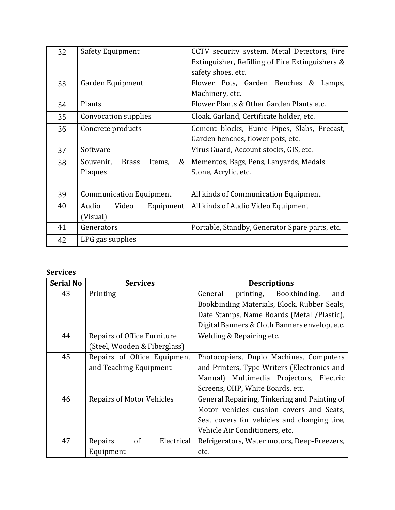| 32 | Safety Equipment                         | CCTV security system, Metal Detectors, Fire     |
|----|------------------------------------------|-------------------------------------------------|
|    |                                          | Extinguisher, Refilling of Fire Extinguishers & |
|    |                                          | safety shoes, etc.                              |
| 33 | Garden Equipment                         | Flower Pots, Garden Benches<br>&<br>Lamps,      |
|    |                                          | Machinery, etc.                                 |
| 34 | Plants                                   | Flower Plants & Other Garden Plants etc.        |
| 35 | Convocation supplies                     | Cloak, Garland, Certificate holder, etc.        |
| 36 | Concrete products                        | Cement blocks, Hume Pipes, Slabs, Precast,      |
|    |                                          | Garden benches, flower pots, etc.               |
| 37 | Software                                 | Virus Guard, Account stocks, GIS, etc.          |
| 38 | &<br>Souvenir,<br><b>Brass</b><br>Items, | Mementos, Bags, Pens, Lanyards, Medals          |
|    | Plaques                                  | Stone, Acrylic, etc.                            |
|    |                                          |                                                 |
| 39 | <b>Communication Equipment</b>           | All kinds of Communication Equipment            |
| 40 | Audio<br>Video<br>Equipment              | All kinds of Audio Video Equipment              |
|    | (Visual)                                 |                                                 |
| 41 | Generators                               | Portable, Standby, Generator Spare parts, etc.  |
| 42 | LPG gas supplies                         |                                                 |

## **Services**

| <b>Serial No</b> | <b>Services</b>                  | <b>Descriptions</b>                           |
|------------------|----------------------------------|-----------------------------------------------|
| 43               | Printing                         | Bookbinding,<br>General<br>printing,<br>and   |
|                  |                                  | Bookbinding Materials, Block, Rubber Seals,   |
|                  |                                  | Date Stamps, Name Boards (Metal /Plastic),    |
|                  |                                  | Digital Banners & Cloth Banners envelop, etc. |
| 44               | Repairs of Office Furniture      | Welding & Repairing etc.                      |
|                  | (Steel, Wooden & Fiberglass)     |                                               |
| 45               | Repairs of Office Equipment      | Photocopiers, Duplo Machines, Computers       |
|                  | and Teaching Equipment           | and Printers, Type Writers (Electronics and   |
|                  |                                  | Manual) Multimedia Projectors, Electric       |
|                  |                                  | Screens, OHP, White Boards, etc.              |
| 46               | <b>Repairs of Motor Vehicles</b> | General Repairing, Tinkering and Painting of  |
|                  |                                  | Motor vehicles cushion covers and Seats,      |
|                  |                                  | Seat covers for vehicles and changing tire,   |
|                  |                                  | Vehicle Air Conditioners, etc.                |
| 47               | of<br>Electrical<br>Repairs      | Refrigerators, Water motors, Deep-Freezers,   |
|                  | Equipment                        | etc.                                          |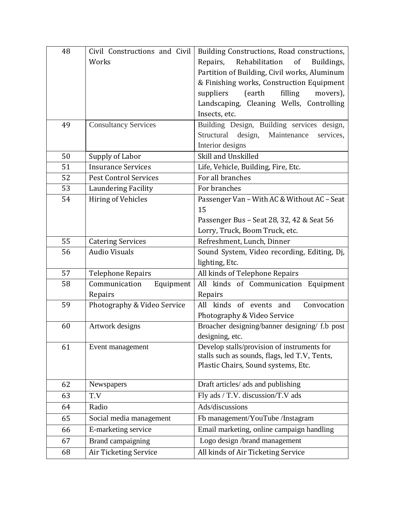| 48 | Civil Constructions and Civil | Building Constructions, Road constructions,                                          |
|----|-------------------------------|--------------------------------------------------------------------------------------|
|    | Works                         | Rehabilitation<br>Repairs,<br>of<br>Buildings,                                       |
|    |                               | Partition of Building, Civil works, Aluminum                                         |
|    |                               | & Finishing works, Construction Equipment                                            |
|    |                               | (earth<br>filling<br>suppliers<br>movers),                                           |
|    |                               | Landscaping, Cleaning Wells, Controlling                                             |
|    |                               | Insects, etc.                                                                        |
| 49 | <b>Consultancy Services</b>   | Building Design, Building services design,                                           |
|    |                               | Structural<br>design,<br>Maintenance<br>services,                                    |
|    |                               | Interior designs                                                                     |
| 50 | Supply of Labor               | Skill and Unskilled                                                                  |
| 51 | <b>Insurance Services</b>     | Life, Vehicle, Building, Fire, Etc.                                                  |
| 52 | <b>Pest Control Services</b>  | For all branches                                                                     |
| 53 | <b>Laundering Facility</b>    | For branches                                                                         |
| 54 | Hiring of Vehicles            | Passenger Van - With AC & Without AC - Seat                                          |
|    |                               | 15                                                                                   |
|    |                               | Passenger Bus - Seat 28, 32, 42 & Seat 56                                            |
|    |                               | Lorry, Truck, Boom Truck, etc.                                                       |
| 55 | <b>Catering Services</b>      | Refreshment, Lunch, Dinner                                                           |
| 56 | <b>Audio Visuals</b>          | Sound System, Video recording, Editing, Dj,                                          |
|    |                               | lighting, Etc.                                                                       |
| 57 | <b>Telephone Repairs</b>      | All kinds of Telephone Repairs                                                       |
| 58 | Communication<br>Equipment    | All kinds of Communication Equipment                                                 |
|    | Repairs                       | Repairs                                                                              |
| 59 | Photography & Video Service   | All kinds of events and<br>Convocation                                               |
|    |                               | Photography & Video Service                                                          |
| 60 | Artwork designs               | Broacher designing/banner designing/ f.b post                                        |
|    |                               | designing, etc.                                                                      |
| 61 | Event management              | Develop stalls/provision of instruments for                                          |
|    |                               | stalls such as sounds, flags, led T.V, Tents,<br>Plastic Chairs, Sound systems, Etc. |
|    |                               |                                                                                      |
| 62 | Newspapers                    | Draft articles/ ads and publishing                                                   |
| 63 | T.V                           | Fly ads / T.V. discussion/T.V ads                                                    |
| 64 | Radio                         | Ads/discussions                                                                      |
| 65 | Social media management       | Fb management/YouTube /Instagram                                                     |
| 66 | E-marketing service           | Email marketing, online campaign handling                                            |
| 67 | Brand campaigning             | Logo design /brand management                                                        |
| 68 | Air Ticketing Service         | All kinds of Air Ticketing Service                                                   |